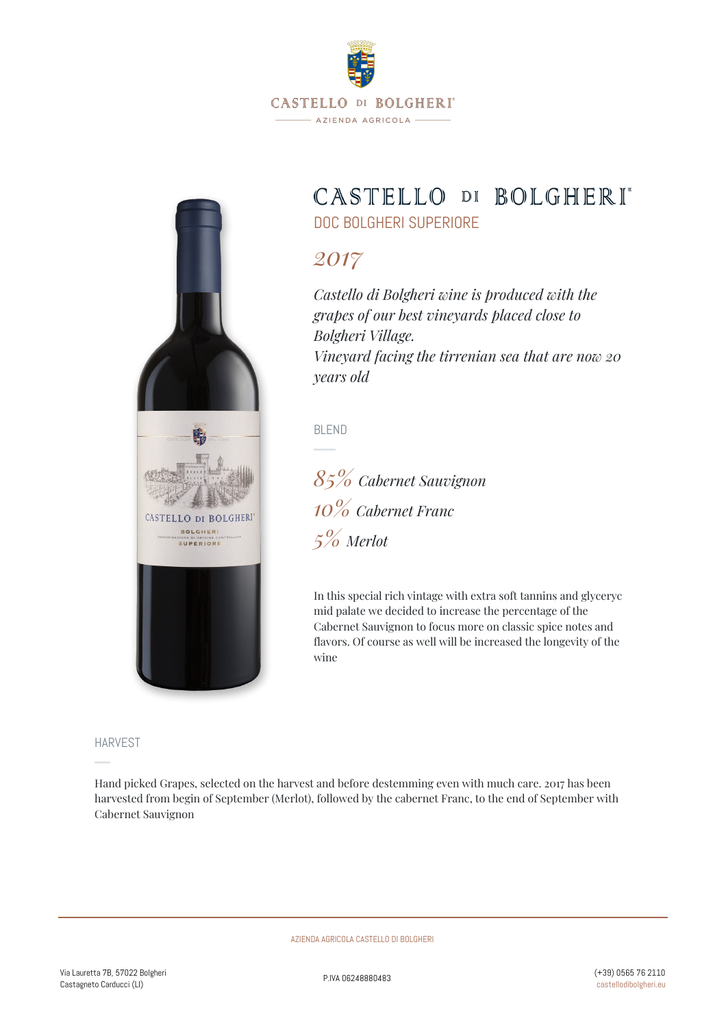

# CASTELLO DI BOLGHERI\*

DOC BOLGHERI SUPERIORE

## *2017*

*Castello di Bolgheri wine is produced with the grapes of our best vineyards placed close to Bolgheri Village. Vineyard facing the tirrenian sea that are now 20 years old*

BLEND

*85% Cabernet Sauvignon 10% Cabernet Franc 5% Merlot*

In this special rich vintage with extra soft tannins and glyceryc mid palate we decided to increase the percentage of the Cabernet Sauvignon to focus more on classic spice notes and flavors. Of course as well will be increased the longevity of the wine

HARVEST

CASTELLO DI BOLGHERI BOLGHER **SUPERIORE** 

Hand picked Grapes, selected on the harvest and before destemming even with much care. 2017 has been harvested from begin of September (Merlot), followed by the cabernet Franc, to the end of September with Cabernet Sauvignon

AZIENDA AGRICOLA CASTELLO DI BOLGHERI